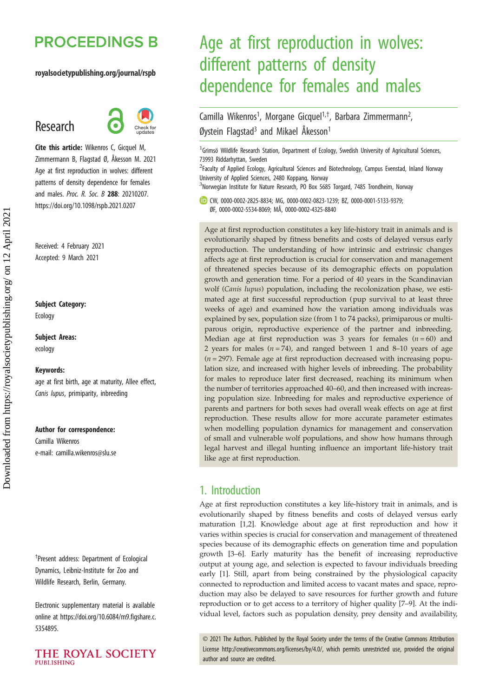## **PROCEEDINGS B**

#### royalsocietypublishing.org/journal/rspb

## Research



Cite this article: Wikenros C, Gicquel M, Zimmermann B, Flagstad Ø, Åkesson M. 2021 Age at first reproduction in wolves: different patterns of density dependence for females and males. Proc. R. Soc. B 288: 20210207. https://doi.org/10.1098/rspb.2021.0207

Received: 4 February 2021 Accepted: 9 March 2021

#### Subject Category:

Ecology

#### Subject Areas: ecology

#### Keywords:

age at first birth, age at maturity, Allee effect, Canis lupus, primiparity, inbreeding

#### Author for correspondence:

Camilla Wikenros e-mail: [camilla.wikenros@slu.se](mailto:camilla.wikenros@slu.se)

† Present address: Department of Ecological Dynamics, Leibniz-Institute for Zoo and Wildlife Research, Berlin, Germany.

Electronic supplementary material is available online at [https://doi.org/10.6084/m9.figshare.c.](https://doi.org/10.6084/m9.figshare.c.5354895) [5354895.](https://doi.org/10.6084/m9.figshare.c.5354895)



## Age at first reproduction in wolves: different patterns of density dependence for females and males

Camilla Wikenros<sup>1</sup>, Morgane Gicquel<sup>1,†</sup>, Barbara Zimmermann<sup>2</sup> .<br>, Øystein Flagstad<sup>3</sup> and Mikael Åkesson<sup>1</sup>

<sup>1</sup> Grimsö Wildlife Research Station, Department of Ecology, Swedish University of Agricultural Sciences, 73993 Riddarhyttan, Sweden

<sup>2</sup> Faculty of Applied Ecology, Agricultural Sciences and Biotechnology, Campus Evenstad, Inland Norway University of Applied Sciences, 2480 Koppang, Norway

<sup>3</sup>Norwegian Institute for Nature Research, PO Box 5685 Torgard, 7485 Trondheim, Norway

CW, [0000-0002-2825-8834](http://orcid.org/0000-0002-2825-8834); MG, [0000-0002-0823-1239;](http://orcid.org/0000-0002-0823-1239) BZ, [0000-0001-5133-9379](http://orcid.org/0000-0001-5133-9379); ØF, [0000-0002-5534-8069](http://orcid.org/0000-0002-5534-8069); MÅ, [0000-0002-4325-8840](http://orcid.org/0000-0002-4325-8840)

Age at first reproduction constitutes a key life-history trait in animals and is evolutionarily shaped by fitness benefits and costs of delayed versus early reproduction. The understanding of how intrinsic and extrinsic changes affects age at first reproduction is crucial for conservation and management of threatened species because of its demographic effects on population growth and generation time. For a period of 40 years in the Scandinavian wolf (Canis lupus) population, including the recolonization phase, we estimated age at first successful reproduction (pup survival to at least three weeks of age) and examined how the variation among individuals was explained by sex, population size (from 1 to 74 packs), primiparous or multiparous origin, reproductive experience of the partner and inbreeding. Median age at first reproduction was 3 years for females  $(n = 60)$  and 2 years for males  $(n = 74)$ , and ranged between 1 and 8-10 years of age  $(n = 297)$ . Female age at first reproduction decreased with increasing population size, and increased with higher levels of inbreeding. The probability for males to reproduce later first decreased, reaching its minimum when the number of territories approached 40–60, and then increased with increasing population size. Inbreeding for males and reproductive experience of parents and partners for both sexes had overall weak effects on age at first reproduction. These results allow for more accurate parameter estimates when modelling population dynamics for management and conservation of small and vulnerable wolf populations, and show how humans through legal harvest and illegal hunting influence an important life-history trait like age at first reproduction.

### 1. Introduction

Age at first reproduction constitutes a key life-history trait in animals, and is evolutionarily shaped by fitness benefits and costs of delayed versus early maturation [[1](#page-7-0),[2](#page-7-0)]. Knowledge about age at first reproduction and how it varies within species is crucial for conservation and management of threatened species because of its demographic effects on generation time and population growth [[3](#page-7-0)–[6](#page-7-0)]. Early maturity has the benefit of increasing reproductive output at young age, and selection is expected to favour individuals breeding early [\[1\]](#page-7-0). Still, apart from being constrained by the physiological capacity connected to reproduction and limited access to vacant mates and space, reproduction may also be delayed to save resources for further growth and future reproduction or to get access to a territory of higher quality [[7](#page-7-0)–[9](#page-7-0)]. At the individual level, factors such as population density, prey density and availability,

© 2021 The Authors. Published by the Royal Society under the terms of the Creative Commons Attribution License<http://creativecommons.org/licenses/by/4.0/>, which permits unrestricted use, provided the original author and source are credited.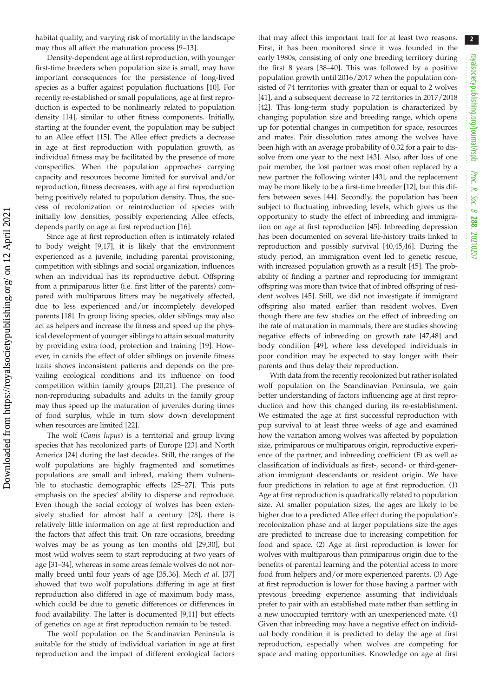2

habitat quality, and varying risk of mortality in the landscape may thus all affect the maturation process [\[9](#page-7-0)–[13](#page-7-0)].

Density-dependent age at first reproduction, with younger first-time breeders when population size is small, may have important consequences for the persistence of long-lived species as a buffer against population fluctuations [[10\]](#page-7-0). For recently re-established or small populations, age at first reproduction is expected to be nonlinearly related to population density [[14\]](#page-7-0), similar to other fitness components. Initially, starting at the founder event, the population may be subject to an Allee effect [\[15](#page-7-0)]. The Allee effect predicts a decrease in age at first reproduction with population growth, as individual fitness may be facilitated by the presence of more conspecifics. When the population approaches carrying capacity and resources become limited for survival and/or reproduction, fitness decreases, with age at first reproduction being positively related to population density. Thus, the success of recolonization or reintroduction of species with initially low densities, possibly experiencing Allee effects, depends partly on age at first reproduction [[16](#page-7-0)].

Since age at first reproduction often is intimately related to body weight [[9,17\]](#page-7-0), it is likely that the environment experienced as a juvenile, including parental provisioning, competition with siblings and social organization, influences when an individual has its reproductive debut. Offspring from a primiparous litter (i.e. first litter of the parents) compared with multiparous litters may be negatively affected, due to less experienced and/or incompletely developed parents [[18\]](#page-7-0). In group living species, older siblings may also act as helpers and increase the fitness and speed up the physical development of younger siblings to attain sexual maturity by providing extra food, protection and training [\[19](#page-7-0)]. However, in canids the effect of older siblings on juvenile fitness traits shows inconsistent patterns and depends on the prevailing ecological conditions and its influence on food competition within family groups [\[20](#page-7-0),[21\]](#page-7-0). The presence of non-reproducing subadults and adults in the family group may thus speed up the maturation of juveniles during times of food surplus, while in turn slow down development when resources are limited [\[22](#page-7-0)].

The wolf (Canis lupus) is a territorial and group living species that has recolonized parts of Europe [\[23](#page-7-0)] and North America [[24\]](#page-7-0) during the last decades. Still, the ranges of the wolf populations are highly fragmented and sometimes populations are small and inbred, making them vulnerable to stochastic demographic effects [[25](#page-7-0)–[27](#page-7-0)]. This puts emphasis on the species' ability to disperse and reproduce. Even though the social ecology of wolves has been extensively studied for almost half a century [\[28](#page-7-0)], there is relatively little information on age at first reproduction and the factors that affect this trait. On rare occasions, breeding wolves may be as young as ten months old [[29,30](#page-7-0)], but most wild wolves seem to start reproducing at two years of age [\[31](#page-7-0)–[34\]](#page-7-0), whereas in some areas female wolves do not normally breed until four years of age [\[35,36](#page-7-0)]. Mech et al. [[37\]](#page-7-0) showed that two wolf populations differing in age at first reproduction also differed in age of maximum body mass, which could be due to genetic differences or differences in food availability. The latter is documented [[9,11\]](#page-7-0) but effects of genetics on age at first reproduction remain to be tested.

The wolf population on the Scandinavian Peninsula is suitable for the study of individual variation in age at first reproduction and the impact of different ecological factors that may affect this important trait for at least two reasons. First, it has been monitored since it was founded in the early 1980s, consisting of only one breeding territory during the first 8 years [[38](#page-8-0)–[40](#page-8-0)]. This was followed by a positive population growth until 2016/2017 when the population consisted of 74 territories with greater than or equal to 2 wolves [[41\]](#page-8-0), and a subsequent decrease to 72 territories in 2017/2018 [[42\]](#page-8-0). This long-term study population is characterized by changing population size and breeding range, which opens up for potential changes in competition for space, resources and mates. Pair dissolution rates among the wolves have been high with an average probability of 0.32 for a pair to dissolve from one year to the next [\[43](#page-8-0)]. Also, after loss of one pair member, the lost partner was most often replaced by a new partner the following winter [\[43](#page-8-0)], and the replacement may be more likely to be a first-time breeder [\[12](#page-7-0)], but this differs between sexes [\[44](#page-8-0)]. Secondly, the population has been subject to fluctuating inbreeding levels, which gives us the opportunity to study the effect of inbreeding and immigration on age at first reproduction [[45\]](#page-8-0). Inbreeding depression has been documented on several life-history traits linked to reproduction and possibly survival [[40,45,46](#page-8-0)]. During the study period, an immigration event led to genetic rescue, with increased population growth as a result [[45\]](#page-8-0). The probability of finding a partner and reproducing for immigrant offspring was more than twice that of inbred offspring of resident wolves [[45\]](#page-8-0). Still, we did not investigate if immigrant offspring also mated earlier than resident wolves. Even though there are few studies on the effect of inbreeding on the rate of maturation in mammals, there are studies showing negative effects of inbreeding on growth rate [[47,48\]](#page-8-0) and body condition [\[49](#page-8-0)], where less developed individuals in poor condition may be expected to stay longer with their parents and thus delay their reproduction.

With data from the recently recolonized but rather isolated wolf population on the Scandinavian Peninsula, we gain better understanding of factors influencing age at first reproduction and how this changed during its re-establishment. We estimated the age at first successful reproduction with pup survival to at least three weeks of age and examined how the variation among wolves was affected by population size, primiparous or multiparous origin, reproductive experience of the partner, and inbreeding coefficient (F) as well as classification of individuals as first-, second- or third-generation immigrant descendants or resident origin. We have four predictions in relation to age at first reproduction. (1) Age at first reproduction is quadratically related to population size. At smaller population sizes, the ages are likely to be higher due to a predicted Allee effect during the population's recolonization phase and at larger populations size the ages are predicted to increase due to increasing competition for food and space. (2) Age at first reproduction is lower for wolves with multiparous than primiparous origin due to the benefits of parental learning and the potential access to more food from helpers and/or more experienced parents. (3) Age at first reproduction is lower for those having a partner with previous breeding experience assuming that individuals prefer to pair with an established mate rather than settling in a new unoccupied territory with an unexperienced mate. (4) Given that inbreeding may have a negative effect on individual body condition it is predicted to delay the age at first reproduction, especially when wolves are competing for space and mating opportunities. Knowledge on age at first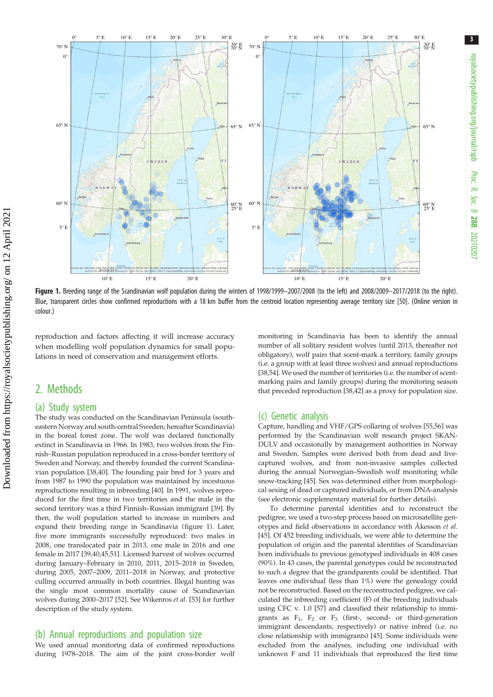

Figure 1. Breeding range of the Scandinavian wolf population during the winters of 1998/1999-2007/2008 (to the left) and 2008/2009-2017/2018 (to the right). Blue, transparent circles show confirmed reproductions with a 18 km buffer from the centroid location representing average territory size [\[50\]](#page-8-0). (Online version in colour.)

reproduction and factors affecting it will increase accuracy when modelling wolf population dynamics for small populations in need of conservation and management efforts.

## 2. Methods

#### (a) Study system

The study was conducted on the Scandinavian Peninsula (southeastern Norway and south-central Sweden; hereafter Scandinavia) in the boreal forest zone. The wolf was declared functionally extinct in Scandinavia in 1966. In 1983, two wolves from the Finnish–Russian population reproduced in a cross-border territory of Sweden and Norway, and thereby founded the current Scandinavian population [\[38,40](#page-8-0)]. The founding pair bred for 3 years and from 1987 to 1990 the population was maintained by incestuous reproductions resulting in inbreeding [[40](#page-8-0)]. In 1991, wolves reproduced for the first time in two territories and the male in the second territory was a third Finnish–Russian immigrant [[39](#page-8-0)]. By then, the wolf population started to increase in numbers and expand their breeding range in Scandinavia (figure 1). Later, five more immigrants successfully reproduced: two males in 2008, one translocated pair in 2013, one male in 2016 and one female in 2017 [\[39,40,45,51](#page-8-0)]. Licensed harvest of wolves occurred during January–February in 2010, 2011, 2015–2018 in Sweden, during 2005, 2007–2009, 2011–2018 in Norway, and protective culling occurred annually in both countries. Illegal hunting was the single most common mortality cause of Scandinavian wolves during 2000–2017 [[52](#page-8-0)]. See Wikenros et al. [\[53\]](#page-8-0) for further description of the study system.

#### (b) Annual reproductions and population size

We used annual monitoring data of confirmed reproductions during 1978–2018. The aim of the joint cross-border wolf monitoring in Scandinavia has been to identify the annual number of all solitary resident wolves (until 2013, thereafter not obligatory), wolf pairs that scent-mark a territory, family groups (i.e. a group with at least three wolves) and annual reproductions [[38,54\]](#page-8-0). We used the number of territories (i.e. the number of scentmarking pairs and family groups) during the monitoring season that preceded reproduction [\[38,42](#page-8-0)] as a proxy for population size.

#### (c) Genetic analysis

Capture, handling and VHF/GPS collaring of wolves [\[55,56](#page-8-0)] was performed by the Scandinavian wolf research project SKAN-DULV and occasionally by management authorities in Norway and Sweden. Samples were derived both from dead and livecaptured wolves, and from non-invasive samples collected during the annual Norwegian–Swedish wolf monitoring while snow-tracking [[45](#page-8-0)]. Sex was determined either from morphological sexing of dead or captured individuals, or from DNA-analysis (see electronic supplementary material for further details).

To determine parental identities and to reconstruct the pedigree, we used a two-step process based on microsatellite genotypes and field observations in accordance with Åkesson et al. [[45](#page-8-0)]. Of 452 breeding individuals, we were able to determine the population of origin and the parental identities of Scandinavian born individuals to previous genotyped individuals in 408 cases (90%). In 43 cases, the parental genotypes could be reconstructed to such a degree that the grandparents could be identified. That leaves one individual (less than 1%) were the genealogy could not be reconstructed. Based on the reconstructed pedigree, we calculated the inbreeding coefficient (F) of the breeding individuals using CFC v. 1.0 [\[57\]](#page-8-0) and classified their relationship to immigrants as  $F_1$ ,  $F_2$  or  $F_3$  (first-, second- or third-generation immigrant descendants, respectively) or native inbred (i.e. no close relationship with immigrants) [\[45\]](#page-8-0). Some individuals were excluded from the analyses, including one individual with unknown F and 11 individuals that reproduced the first time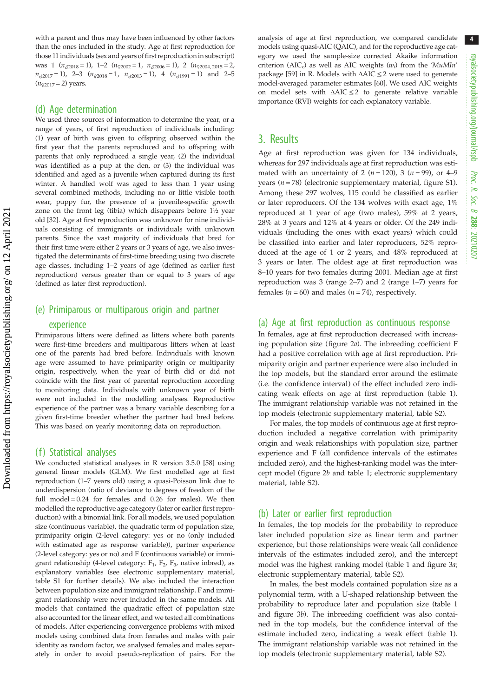with a parent and thus may have been influenced by other factors than the ones included in the study. Age at first reproduction for those 11 individuals (sex and years of first reproduction in subscript) was 1  $(n_{d2018} = 1)$ , 1–2  $(n_{q2002} = 1, n_{d2006} = 1)$ , 2  $(n_{q2004, 2015} = 2,$  $n_{\sigma2017} = 1$ , 2–3  $(n_{\phi2018} = 1, n_{\phi2013} = 1)$ , 4  $(n_{\phi1991} = 1)$  and 2–5  $(n_{\text{92017}} = 2)$  years.

#### (d) Age determination

We used three sources of information to determine the year, or a range of years, of first reproduction of individuals including: (1) year of birth was given to offspring observed within the first year that the parents reproduced and to offspring with parents that only reproduced a single year, (2) the individual was identified as a pup at the den, or (3) the individual was identified and aged as a juvenile when captured during its first winter. A handled wolf was aged to less than 1 year using several combined methods, including no or little visible tooth wear, puppy fur, the presence of a juvenile-specific growth zone on the front leg (tibia) which disappears before 1½ year old [\[32\]](#page-7-0). Age at first reproduction was unknown for nine individuals consisting of immigrants or individuals with unknown parents. Since the vast majority of individuals that bred for their first time were either 2 years or 3 years of age, we also investigated the determinants of first-time breeding using two discrete age classes, including 1–2 years of age (defined as earlier first reproduction) versus greater than or equal to 3 years of age (defined as later first reproduction).

# (e) Primiparous or multiparous origin and partner

#### experience

Primiparous litters were defined as litters where both parents were first-time breeders and multiparous litters when at least one of the parents had bred before. Individuals with known age were assumed to have primiparity origin or multiparity origin, respectively, when the year of birth did or did not coincide with the first year of parental reproduction according to monitoring data. Individuals with unknown year of birth were not included in the modelling analyses. Reproductive experience of the partner was a binary variable describing for a given first-time breeder whether the partner had bred before. This was based on yearly monitoring data on reproduction.

#### (f) Statistical analyses

We conducted statistical analyses in R version 3.5.0 [\[58\]](#page-8-0) using general linear models (GLM). We first modelled age at first reproduction (1–7 years old) using a quasi-Poisson link due to underdispersion (ratio of deviance to degrees of freedom of the full model  $= 0.24$  for females and 0.26 for males). We then modelled the reproductive age category (later or earlier first reproduction) with a binomial link. For all models, we used population size (continuous variable), the quadratic term of population size, primiparity origin (2-level category: yes or no (only included with estimated age as response variable)), partner experience (2-level category: yes or no) and F (continuous variable) or immigrant relationship (4-level category:  $F_1$ ,  $F_2$ ,  $F_3$ , native inbred), as explanatory variables (see electronic supplementary material, table S1 for further details). We also included the interaction between population size and immigrant relationship. F and immigrant relationship were never included in the same models. All models that contained the quadratic effect of population size also accounted for the linear effect, and we tested all combinations of models. After experiencing convergence problems with mixed models using combined data from females and males with pair identity as random factor, we analysed females and males separately in order to avoid pseudo-replication of pairs. For the analysis of age at first reproduction, we compared candidate models using quasi-AIC (QAIC), and for the reproductive age category we used the sample-size corrected Akaike information criterion (AIC<sub>c</sub>) as well as AIC weights  $(w_i)$  from the 'MuMIn' package [[59](#page-8-0)] in R. Models with  $\triangle AIC \leq 2$  were used to generate model-averaged parameter estimates [[60](#page-8-0)]. We used AIC weights on model sets with  $\triangle AIC \leq 2$  to generate relative variable importance (RVI) weights for each explanatory variable.

## 3. Results

Age at first reproduction was given for 134 individuals, whereas for 297 individuals age at first reproduction was estimated with an uncertainty of 2 ( $n = 120$ ), 3 ( $n = 99$ ), or 4–9 years ( $n = 78$ ) (electronic supplementary material, figure S1). Among these 297 wolves, 115 could be classified as earlier or later reproducers. Of the 134 wolves with exact age, 1% reproduced at 1 year of age (two males), 59% at 2 years, 28% at 3 years and 12% at 4 years or older. Of the 249 individuals (including the ones with exact years) which could be classified into earlier and later reproducers, 52% reproduced at the age of 1 or 2 years, and 48% reproduced at 3 years or later. The oldest age at first reproduction was 8–10 years for two females during 2001. Median age at first reproduction was 3 (range 2–7) and 2 (range 1–7) years for females ( $n = 60$ ) and males ( $n = 74$ ), respectively.

#### (a) Age at first reproduction as continuous response

In females, age at first reproduction decreased with increasing population size ([figure 2](#page-4-0)a). The inbreeding coefficient F had a positive correlation with age at first reproduction. Primiparity origin and partner experience were also included in the top models, but the standard error around the estimate (i.e. the confidence interval) of the effect included zero indicating weak effects on age at first reproduction [\(table 1\)](#page-5-0). The immigrant relationship variable was not retained in the top models (electronic supplementary material, table S2).

For males, the top models of continuous age at first reproduction included a negative correlation with primiparity origin and weak relationships with population size, partner experience and F (all confidence intervals of the estimates included zero), and the highest-ranking model was the intercept model ([figure 2](#page-4-0)b and [table 1;](#page-5-0) electronic supplementary material, table S2).

#### (b) Later or earlier first reproduction

In females, the top models for the probability to reproduce later included population size as linear term and partner experience, but those relationships were weak (all confidence intervals of the estimates included zero), and the intercept model was the highest ranking model ([table 1](#page-5-0) and [figure 3](#page-6-0)a; electronic supplementary material, table S2).

In males, the best models contained population size as a polynomial term, with a U-shaped relationship between the probability to reproduce later and population size [\(table 1](#page-5-0) and [figure 3](#page-6-0)b). The inbreeding coefficient was also contained in the top models, but the confidence interval of the estimate included zero, indicating a weak effect [\(table 1\)](#page-5-0). The immigrant relationship variable was not retained in the top models (electronic supplementary material, table S2).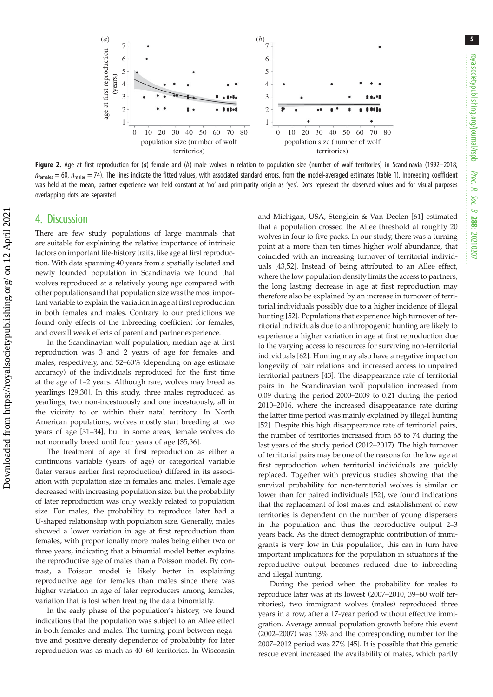5

<span id="page-4-0"></span>

Figure 2. Age at first reproduction for (a) female and (b) male wolves in relation to population size (number of wolf territories) in Scandinavia (1992–2018;  $n_{\text{females}} = 60$ ,  $n_{\text{males}} = 74$ ). The lines indicate the fitted values, with associated standard errors, from the model-averaged estimates [\(table 1](#page-5-0)). Inbreeding coefficient was held at the mean, partner experience was held constant at 'no' and primiparity origin as 'yes'. Dots represent the observed values and for visual purposes overlapping dots are separated.

### 4. Discussion

There are few study populations of large mammals that are suitable for explaining the relative importance of intrinsic factors on important life-history traits, like age at first reproduction. With data spanning 40 years from a spatially isolated and newly founded population in Scandinavia we found that wolves reproduced at a relatively young age compared with other populations and that population size was the most important variable to explain the variation in age at first reproduction in both females and males. Contrary to our predictions we found only effects of the inbreeding coefficient for females, and overall weak effects of parent and partner experience.

In the Scandinavian wolf population, median age at first reproduction was 3 and 2 years of age for females and males, respectively, and 52–60% (depending on age estimate accuracy) of the individuals reproduced for the first time at the age of 1–2 years. Although rare, wolves may breed as yearlings [[29,30\]](#page-7-0). In this study, three males reproduced as yearlings, two non-incestuously and one incestuously, all in the vicinity to or within their natal territory. In North American populations, wolves mostly start breeding at two years of age [[31](#page-7-0)–[34](#page-7-0)], but in some areas, female wolves do not normally breed until four years of age [[35](#page-7-0),[36\]](#page-7-0).

The treatment of age at first reproduction as either a continuous variable (years of age) or categorical variable (later versus earlier first reproduction) differed in its association with population size in females and males. Female age decreased with increasing population size, but the probability of later reproduction was only weakly related to population size. For males, the probability to reproduce later had a U-shaped relationship with population size. Generally, males showed a lower variation in age at first reproduction than females, with proportionally more males being either two or three years, indicating that a binomial model better explains the reproductive age of males than a Poisson model. By contrast, a Poisson model is likely better in explaining reproductive age for females than males since there was higher variation in age of later reproducers among females, variation that is lost when treating the data binomially.

In the early phase of the population's history, we found indications that the population was subject to an Allee effect in both females and males. The turning point between negative and positive density dependence of probability for later reproduction was as much as 40–60 territories. In Wisconsin and Michigan, USA, Stenglein & Van Deelen [[61\]](#page-8-0) estimated that a population crossed the Allee threshold at roughly 20 wolves in four to five packs. In our study, there was a turning point at a more than ten times higher wolf abundance, that coincided with an increasing turnover of territorial individuals [\[43,52](#page-8-0)]. Instead of being attributed to an Allee effect, where the low population density limits the access to partners, the long lasting decrease in age at first reproduction may therefore also be explained by an increase in turnover of territorial individuals possibly due to a higher incidence of illegal hunting [[52\]](#page-8-0). Populations that experience high turnover of territorial individuals due to anthropogenic hunting are likely to experience a higher variation in age at first reproduction due to the varying access to resources for surviving non-territorial individuals [[62\]](#page-8-0). Hunting may also have a negative impact on longevity of pair relations and increased access to unpaired territorial partners [\[43](#page-8-0)]. The disappearance rate of territorial pairs in the Scandinavian wolf population increased from 0.09 during the period 2000–2009 to 0.21 during the period 2010–2016, where the increased disappearance rate during the latter time period was mainly explained by illegal hunting [[52\]](#page-8-0). Despite this high disappearance rate of territorial pairs, the number of territories increased from 65 to 74 during the last years of the study period (2012–2017). The high turnover of territorial pairs may be one of the reasons for the low age at first reproduction when territorial individuals are quickly replaced. Together with previous studies showing that the survival probability for non-territorial wolves is similar or lower than for paired individuals [\[52](#page-8-0)], we found indications that the replacement of lost mates and establishment of new territories is dependent on the number of young dispersers in the population and thus the reproductive output 2–3 years back. As the direct demographic contribution of immigrants is very low in this population, this can in turn have important implications for the population in situations if the reproductive output becomes reduced due to inbreeding and illegal hunting.

During the period when the probability for males to reproduce later was at its lowest (2007–2010, 39–60 wolf territories), two immigrant wolves (males) reproduced three years in a row, after a 17-year period without effective immigration. Average annual population growth before this event (2002–2007) was 13% and the corresponding number for the 2007–2012 period was 27% [[45\]](#page-8-0). It is possible that this genetic rescue event increased the availability of mates, which partly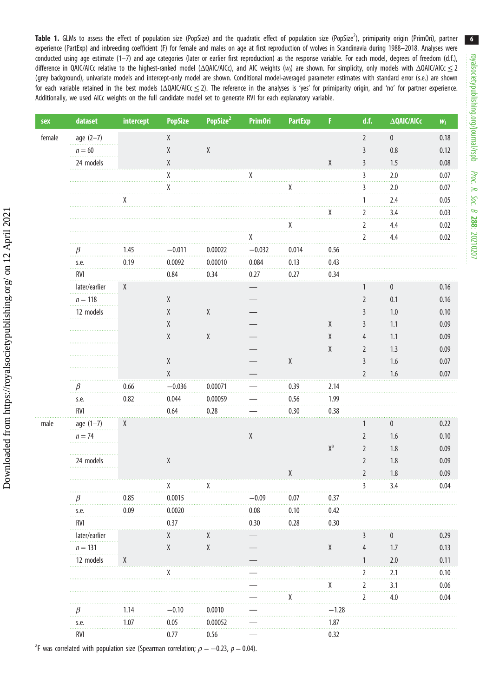<span id="page-5-0"></span>Table 1. GLMs to assess the effect of population size (PopSize) and the quadratic effect of population size (PopSize<sup>2</sup>), primiparity origin (PrimOri), partner experience (PartExp) and inbreeding coefficient (F) for female and males on age at first reproduction of wolves in Scandinavia during 1988–2018. Analyses were conducted using age estimate (1–7) and age categories (later or earlier first reproduction) as the response variable. For each model, degrees of freedom (d.f.), difference in QAIC/AICc relative to the highest-ranked model (ΔQAIC/AICc), and AIC weights (w<sub>i</sub>) are shown. For simplicity, only models with ΔQAIC/AICc  $\leq$  2 (grey background), univariate models and intercept-only model are shown. Conditional model-averaged parameter estimates with standard error (s.e.) are shown for each variable retained in the best models (ΔQAIC/AICc ≤ 2). The reference in the analyses is 'yes' for primiparity origin, and 'no' for partner experience. Additionally, we used AICc weights on the full candidate model set to generate RVI for each explanatory variable.

| sex    | dataset                                                          | intercept    | <b>PopSize</b>                                      | PopSize <sup>2</sup> | <b>PrimOri</b>                                      | <b>PartExp</b>                                      | F.                      | d.f.                 | $\Delta Q$ AIC/AICc      | $W_i$ |
|--------|------------------------------------------------------------------|--------------|-----------------------------------------------------|----------------------|-----------------------------------------------------|-----------------------------------------------------|-------------------------|----------------------|--------------------------|-------|
| female | $age (2-7)$                                                      |              | $\mathsf X$                                         |                      |                                                     |                                                     |                         | $\overline{2}$       | $\pmb{0}$                | 0.18  |
|        | $n=60$                                                           |              | $\mathsf X$                                         | $\chi$               |                                                     |                                                     |                         | $\overline{3}$       | 0.8                      | 0.12  |
|        | 24 models                                                        |              | Χ                                                   |                      |                                                     |                                                     | Χ                       | $\mathsf{3}$         | 1.5                      | 0.08  |
|        |                                                                  |              | χ                                                   |                      | Χ                                                   |                                                     |                         | $\mathbf{3}$         | 2.0                      | 0.07  |
|        |                                                                  |              | χ                                                   |                      |                                                     |                                                     |                         | 3                    | 2.0<br>$\sim$ and $\sim$ | 0.07  |
|        |                                                                  | $\mathbf{X}$ |                                                     |                      |                                                     |                                                     |                         | 1                    | 2.4                      | 0.05  |
|        |                                                                  |              |                                                     |                      |                                                     |                                                     | χ                       | $\overline{2}$<br>a. | 3.4                      | 0.03  |
|        |                                                                  |              |                                                     |                      |                                                     | χ                                                   |                         | $\overline{2}$       | 4.4                      | 0.02  |
|        |                                                                  |              |                                                     |                      |                                                     |                                                     |                         | $\overline{2}$       | 4.4                      | 0.02  |
|        | $\beta$                                                          | 1.45         | $-0.011$                                            | 0.00022              | $-0.032$                                            | 0.014                                               | 0.56                    |                      |                          |       |
|        | s.e.                                                             | 0.19         | 0.0092                                              | 0.00010              | 0.084                                               | 0.13                                                | 0.43                    |                      |                          |       |
|        | RVI                                                              |              | 0.84                                                | 0.34                 | 0.27                                                | 0.27                                                | 0.34                    |                      |                          |       |
|        | later/earlier                                                    | X            |                                                     |                      |                                                     |                                                     |                         |                      | 0                        | 0.16  |
|        | $n=118$                                                          |              | $\mathsf X$                                         |                      |                                                     |                                                     |                         | $\overline{2}$       | 0.1                      | 0.16  |
|        | 12 models                                                        |              | $\pmb{\chi}$                                        | $\chi$               |                                                     |                                                     |                         | 3                    | 1.0                      | 0.10  |
|        |                                                                  |              | $\pmb{\chi}$                                        |                      |                                                     |                                                     | $\pmb{\chi}$            | 3                    | 1.1                      | 0.09  |
|        |                                                                  |              | $\pmb{\chi}$                                        | $\chi$               |                                                     |                                                     | $\chi$                  | 4                    | 1.1                      | 0.09  |
|        |                                                                  |              |                                                     |                      |                                                     |                                                     | Χ                       | $\overline{2}$       | 1.3                      | 0.09  |
|        |                                                                  |              | $\mathsf{X}% _{0}^{\prime}=\mathsf{X}_{0}^{\prime}$ |                      |                                                     | $\mathsf{X}% _{0}^{\prime}=\mathsf{X}_{0}^{\prime}$ |                         | $\mathsf{3}$         | 1.6                      | 0.07  |
|        |                                                                  |              | $\mathsf X$                                         |                      |                                                     |                                                     |                         | $\overline{2}$       | 1.6                      | 0.07  |
|        | $\beta$                                                          | 0.66         | $-0.036$                                            | 0.00071              |                                                     | 0.39                                                | 2.14                    |                      |                          |       |
|        | s.e.<br>1.1.1.1.1.1                                              | 0.82         | 0.044                                               | 0.00059              |                                                     | 0.56                                                | 1.99                    |                      |                          |       |
|        | RVI                                                              |              | 0.64                                                | 0.28                 |                                                     | 0.30                                                | 0.38                    |                      |                          |       |
| male   | $age (1-7)$                                                      | X            |                                                     |                      |                                                     |                                                     |                         | 1                    | 0                        | 0.22  |
|        | $n = 74$                                                         |              |                                                     |                      | $\mathsf{X}% _{0}^{\prime}=\mathsf{X}_{0}^{\prime}$ |                                                     |                         | $\overline{2}$       | 1.6                      | 0.10  |
|        |                                                                  |              |                                                     |                      |                                                     |                                                     | $\mathsf{X}^\mathsf{a}$ | $\overline{2}$       | 1.8                      | 0.09  |
|        | 24 models                                                        |              | $\mathsf{X}% _{0}^{\prime}=\mathsf{X}_{0}^{\prime}$ |                      |                                                     |                                                     |                         | $\overline{2}$       | 1.8                      | 0.09  |
|        |                                                                  |              |                                                     |                      |                                                     | χ                                                   |                         | $\overline{2}$       | 1.8                      | 0.09  |
|        |                                                                  |              | χ                                                   | χ                    |                                                     |                                                     |                         | 3                    | 3.4                      | 0.04  |
|        |                                                                  | 0.85         | 0.0015                                              |                      | $-0.09$                                             | 0.07                                                | 0.37                    |                      |                          |       |
|        | s.e.                                                             | 0.09         | 0.0020                                              |                      | 0.08                                                | 0.10                                                | 0.42                    |                      |                          |       |
|        | <b>RVI</b>                                                       |              | 0.37                                                |                      | 0.30                                                | 0.28                                                | 0.30                    |                      |                          |       |
|        | later/earlier                                                    |              | X                                                   | X                    |                                                     |                                                     |                         | ⊰                    | 0                        | 0.29  |
|        | $n = 131$                                                        |              | $\pmb{\chi}$                                        | $\chi$               |                                                     |                                                     | $\chi$                  | 4                    | 1.7                      | 0.13  |
|        | 12 models                                                        | X            |                                                     |                      |                                                     |                                                     |                         |                      | 2.0                      | 0.11  |
|        |                                                                  |              | Х                                                   |                      |                                                     |                                                     |                         | 2                    | 2.1                      | 0.10  |
|        |                                                                  |              |                                                     |                      |                                                     |                                                     | χ                       | 2                    | 3.1                      | 0.06  |
|        |                                                                  |              |                                                     |                      |                                                     |                                                     |                         | $\overline{2}$       | 4.0                      | 0.04  |
|        | B                                                                | 1.14         | $-0.10$                                             | 0.0010               |                                                     |                                                     | $-1.28$                 |                      |                          |       |
|        | s.e.<br>لتتبيت                                                   | 1.07         | 0.05                                                | 0.00052              |                                                     |                                                     | 1.87                    |                      |                          |       |
|        | <b>RVI</b><br>alated with nonulation cize (Cnoarman correlation: |              | 0.77                                                | 0.56<br>0. CC 0.     | - 0 0 1                                             |                                                     | 0.32                    |                      |                          |       |

6

<sup>a</sup>F was correlated with population size (Spearman correlation;  $\rho = -0.23$ ,  $p = 0.04$ ).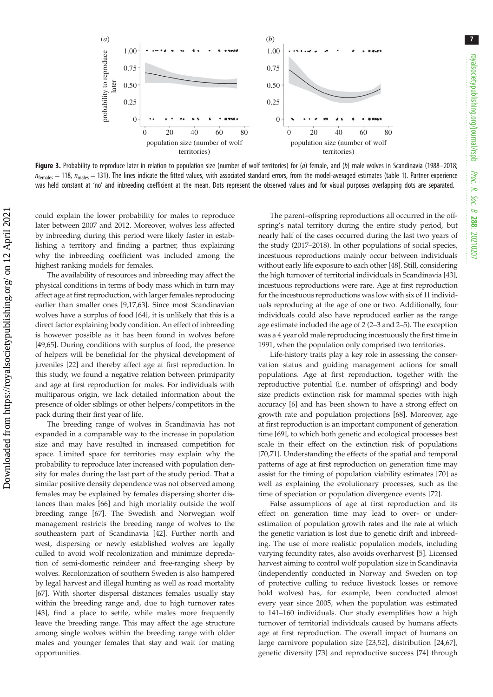7

<span id="page-6-0"></span>

Figure 3. Probability to reproduce later in relation to population size (number of wolf territories) for  $(a)$  female, and  $(b)$  male wolves in Scandinavia (1988–2018;  $n_{\text{females}} = 118$ ,  $n_{\text{males}} = 131$ ). The lines indicate the fitted values, with associated standard errors, from the model-averaged estimates ([table 1\)](#page-5-0). Partner experience was held constant at 'no' and inbreeding coefficient at the mean. Dots represent the observed values and for visual purposes overlapping dots are separated.

could explain the lower probability for males to reproduce later between 2007 and 2012. Moreover, wolves less affected by inbreeding during this period were likely faster in establishing a territory and finding a partner, thus explaining why the inbreeding coefficient was included among the highest ranking models for females.

The availability of resources and inbreeding may affect the physical conditions in terms of body mass which in turn may affect age at first reproduction, with larger females reproducing earlier than smaller ones [[9,17](#page-7-0),[63](#page-8-0)]. Since most Scandinavian wolves have a surplus of food [[64\]](#page-8-0), it is unlikely that this is a direct factor explaining body condition. An effect of inbreeding is however possible as it has been found in wolves before [\[49,65](#page-8-0)]. During conditions with surplus of food, the presence of helpers will be beneficial for the physical development of juveniles [\[22\]](#page-7-0) and thereby affect age at first reproduction. In this study, we found a negative relation between primiparity and age at first reproduction for males. For individuals with multiparous origin, we lack detailed information about the presence of older siblings or other helpers/competitors in the pack during their first year of life.

The breeding range of wolves in Scandinavia has not expanded in a comparable way to the increase in population size and may have resulted in increased competition for space. Limited space for territories may explain why the probability to reproduce later increased with population density for males during the last part of the study period. That a similar positive density dependence was not observed among females may be explained by females dispersing shorter distances than males [\[66](#page-8-0)] and high mortality outside the wolf breeding range [\[67](#page-8-0)]. The Swedish and Norwegian wolf management restricts the breeding range of wolves to the southeastern part of Scandinavia [[42\]](#page-8-0). Further north and west, dispersing or newly established wolves are legally culled to avoid wolf recolonization and minimize depredation of semi-domestic reindeer and free-ranging sheep by wolves. Recolonization of southern Sweden is also hampered by legal harvest and illegal hunting as well as road mortality [\[67](#page-8-0)]. With shorter dispersal distances females usually stay within the breeding range and, due to high turnover rates [\[43](#page-8-0)], find a place to settle, while males more frequently leave the breeding range. This may affect the age structure among single wolves within the breeding range with older males and younger females that stay and wait for mating opportunities.

The parent–offspring reproductions all occurred in the offspring's natal territory during the entire study period, but nearly half of the cases occurred during the last two years of the study (2017–2018). In other populations of social species, incestuous reproductions mainly occur between individuals without early life exposure to each other [\[48](#page-8-0)]. Still, considering the high turnover of territorial individuals in Scandinavia [[43\]](#page-8-0), incestuous reproductions were rare. Age at first reproduction for the incestuous reproductions was low with six of 11 individuals reproducing at the age of one or two. Additionally, four individuals could also have reproduced earlier as the range age estimate included the age of 2 (2–3 and 2–5). The exception was a 4 year old male reproducing incestuously the first time in 1991, when the population only comprised two territories.

Life-history traits play a key role in assessing the conservation status and guiding management actions for small populations. Age at first reproduction, together with the reproductive potential (i.e. number of offspring) and body size predicts extinction risk for mammal species with high accuracy [\[6\]](#page-7-0) and has been shown to have a strong effect on growth rate and population projections [[68\]](#page-8-0). Moreover, age at first reproduction is an important component of generation time [[69\]](#page-8-0), to which both genetic and ecological processes best scale in their effect on the extinction risk of populations [[70,71\]](#page-8-0). Understanding the effects of the spatial and temporal patterns of age at first reproduction on generation time may assist for the timing of population viability estimates [[70](#page-8-0)] as well as explaining the evolutionary processes, such as the time of speciation or population divergence events [\[72](#page-8-0)].

False assumptions of age at first reproduction and its effect on generation time may lead to over- or underestimation of population growth rates and the rate at which the genetic variation is lost due to genetic drift and inbreeding. The use of more realistic population models, including varying fecundity rates, also avoids overharvest [[5](#page-7-0)]. Licensed harvest aiming to control wolf population size in Scandinavia (independently conducted in Norway and Sweden on top of protective culling to reduce livestock losses or remove bold wolves) has, for example, been conducted almost every year since 2005, when the population was estimated to 141–160 individuals. Our study exemplifies how a high turnover of territorial individuals caused by humans affects age at first reproduction. The overall impact of humans on large carnivore population size [\[23](#page-7-0)[,52](#page-8-0)], distribution [\[24](#page-7-0),[67\]](#page-8-0), genetic diversity [[73\]](#page-8-0) and reproductive success [[74\]](#page-8-0) through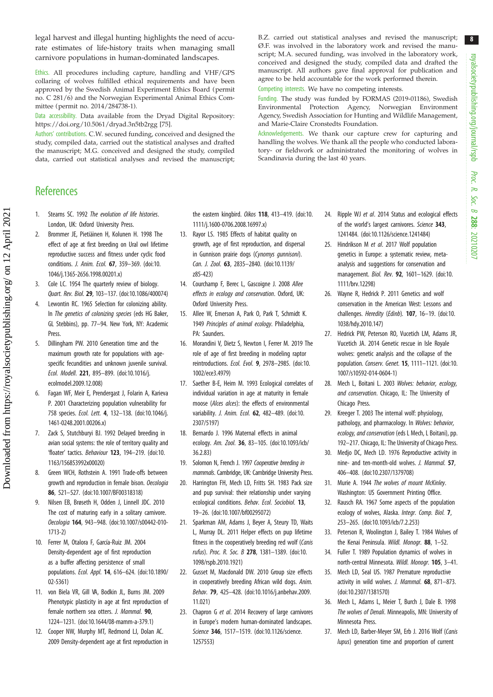<span id="page-7-0"></span>legal harvest and illegal hunting highlights the need of accurate estimates of life-history traits when managing small carnivore populations in human-dominated landscapes.

Ethics. All procedures including capture, handling and VHF/GPS collaring of wolves fulfilled ethical requirements and have been approved by the Swedish Animal Experiment Ethics Board (permit no. C 281/6) and the Norwegian Experimental Animal Ethics Committee (permit no. 2014/284738-1).

Data accessibility. Data available from the Dryad Digital Repository: <https://doi.org/10.5061/dryad.3n5tb2rgg> [\[75](#page-8-0)].

Authors' contributions. C.W. secured funding, conceived and designed the study, compiled data, carried out the statistical analyses and drafted the manuscript; M.G. conceived and designed the study, compiled data, carried out statistical analyses and revised the manuscript; B.Z. carried out statistical analyses and revised the manuscript; Ø.F. was involved in the laboratory work and revised the manuscript; M.A. secured funding, was involved in the laboratory work, conceived and designed the study, compiled data and drafted the manuscript. All authors gave final approval for publication and agree to be held accountable for the work performed therein.

Competing interests. We have no competing interests.

Funding. The study was funded by FORMAS (2019-01186), Swedish Environmental Protection Agency, Norwegian Environment Agency, Swedish Association for Hunting and Wildlife Management, and Marie-Claire Cronstedts Foundation.

Acknowledgements. We thank our capture crew for capturing and handling the wolves. We thank all the people who conducted laboratory- or fieldwork or administrated the monitoring of wolves in Scandinavia during the last 40 years.

## **References**

- 1. Stearns SC. 1992 The evolution of life histories. London, UK: Oxford University Press.
- 2. Brommer JE, Pietiäinen H, Kolunen H. 1998 The effect of age at first breeding on Ural owl lifetime reproductive success and fitness under cyclic food conditions. J. Anim. Ecol. 67, 359–369. [\(doi:10.](http://dx.doi.org/10.1046/j.1365-2656.1998.00201.x) [1046/j.1365-2656.1998.00201.x](http://dx.doi.org/10.1046/j.1365-2656.1998.00201.x))
- 3. Cole LC. 1954 The quarterly review of biology. Quart. Rev. Biol. 29, 103–137. [\(doi:10.1086/400074\)](http://dx.doi.org/10.1086/400074)
- Lewontin RC. 1965 Selection for colonizing ability. In The genetics of colonizing species (eds HG Baker, GL Stebbins), pp. 77–94. New York, NY: Academic Press.
- 5. Dillingham PW. 2010 Generation time and the maximum growth rate for populations with agespecific fecundities and unknown juvenile survival. Ecol. Modell. 221, 895–899. ([doi:10.1016/j.](http://dx.doi.org/10.1016/j.ecolmodel.2009.12.008) [ecolmodel.2009.12.008\)](http://dx.doi.org/10.1016/j.ecolmodel.2009.12.008)
- 6. Fagan WF, Meir E, Prendergast J, Folarin A, Karieva P. 2001 Characterizing population vulnerability for 758 species. Ecol. Lett. 4, 132–138. [\(doi:10.1046/j.](http://dx.doi.org/10.1046/j.1461-0248.2001.00206.x) [1461-0248.2001.00206.x\)](http://dx.doi.org/10.1046/j.1461-0248.2001.00206.x)
- 7. Zack S, Stutchburyi BJ. 1992 Delayed breeding in avian social systems: the role of territory quality and 'floater' tactics. Behaviour 123, 194–219. ([doi:10.](http://dx.doi.org/10.1163/156853992x00020) [1163/156853992x00020](http://dx.doi.org/10.1163/156853992x00020))
- 8. Green WCH, Rothstein A. 1991 Trade-offs between growth and reproduction in female bison. Oecologia 86, 521–527. ([doi:10.1007/BF00318318](http://dx.doi.org/10.1007/BF00318318))
- 9. Nilsen EB, Brøseth H, Odden J, Linnell JDC. 2010 The cost of maturing early in a solitary carnivore. Oecologia 164, 943–948. [\(doi:10.1007/s00442-010-](http://dx.doi.org/10.1007/s00442-010-1713-2) [1713-2](http://dx.doi.org/10.1007/s00442-010-1713-2))
- 10. Ferrer M, Otalora F, García-Ruiz JM. 2004 Density-dependent age of first reproduction as a buffer affecting persistence of small populations. Ecol. Appl. 14, 616–624. ([doi:10.1890/](http://dx.doi.org/10.1890/02-5361) [02-5361\)](http://dx.doi.org/10.1890/02-5361)
- 11. von Biela VR, Gill VA, Bodkin JL, Burns JM. 2009 Phenotypic plasticity in age at first reproduction of female northern sea otters. J. Mammal. 90, 1224–1231. [\(doi:10.1644/08-mamm-a-379.1](http://dx.doi.org/10.1644/08-mamm-a-379.1))
- 12. Cooper NW, Murphy MT, Redmond LJ, Dolan AC. 2009 Density-dependent age at first reproduction in

the eastern kingbird. Oikos 118, 413-419. [\(doi:10.](http://dx.doi.org/10.1111/j.1600-0706.2008.16997.x) [1111/j.1600-0706.2008.16997.x](http://dx.doi.org/10.1111/j.1600-0706.2008.16997.x))

- 13. Rayor LS. 1985 Effects of habitat quality on growth, age of first reproduction, and dispersal in Gunnison prairie dogs (Cynomys gunnisoni). Can. J. Zool. 63, 2835–2840. [\(doi:10.1139/](http://dx.doi.org/10.1139/z85-423) [z85-423](http://dx.doi.org/10.1139/z85-423))
- 14. Courchamp F, Berec L, Gascoigne J. 2008 Allee effects in ecology and conservation. Oxford, UK: Oxford University Press.
- 15. Allee W, Emerson A, Park O, Park T, Schmidt K. 1949 Principles of animal ecology. Philadelphia, PA: Saunders.
- 16. Morandini V, Dietz S, Newton I, Ferrer M. 2019 The role of age of first breeding in modeling raptor reintroductions. Ecol. Evol. 9, 2978–2985. [\(doi:10.](http://dx.doi.org/10.1002/ece3.4979) [1002/ece3.4979](http://dx.doi.org/10.1002/ece3.4979))
- 17. Saether B-E, Heim M. 1993 Ecological correlates of individual variation in age at maturity in female moose (Alces alces): the effects of environmental variability. J. Anim. Ecol. **62**, 482-489. [\(doi:10.](http://dx.doi.org/10.2307/5197) [2307/5197](http://dx.doi.org/10.2307/5197))
- 18. Bernardo J. 1996 Maternal effects in animal ecology. Am. Zool. 36, 83–105. [\(doi:10.1093/icb/](http://dx.doi.org/10.1093/icb/36.2.83) [36.2.83](http://dx.doi.org/10.1093/icb/36.2.83))
- 19. Solomon N, French J. 1997 Cooperative breeding in mammals. Cambridge, UK: Cambridge University Press.
- 20. Harrington FH, Mech LD, Fritts SH. 1983 Pack size and pup survival: their relationship under varying ecological conditions. Behav. Ecol. Sociobiol. 13, 19–26. ([doi:10.1007/bf00295072\)](http://dx.doi.org/10.1007/bf00295072)
- 21. Sparkman AM, Adams J, Beyer A, Steury TD, Waits L, Murray DL. 2011 Helper effects on pup lifetime fitness in the cooperatively breeding red wolf (Canis rufus). Proc. R. Soc. B 278, 1381–1389. [\(doi:10.](http://dx.doi.org/10.1098/rspb.2010.1921) [1098/rspb.2010.1921\)](http://dx.doi.org/10.1098/rspb.2010.1921)
- 22. Gusset M, Macdonald DW. 2010 Group size effects in cooperatively breeding African wild dogs. Anim. Behav. 79, 425–428. ([doi:10.1016/j.anbehav.2009.](http://dx.doi.org/10.1016/j.anbehav.2009.11.021) [11.021](http://dx.doi.org/10.1016/j.anbehav.2009.11.021))
- 23. Chapron G et al. 2014 Recovery of large carnivores in Europe's modern human-dominated landscapes. Science 346, 1517–1519. [\(doi:10.1126/science.](http://dx.doi.org/10.1126/science.1257553) [1257553\)](http://dx.doi.org/10.1126/science.1257553)
- 24. Ripple WJ et al. 2014 Status and ecological effects of the world's largest carnivores. Science 343, 1241484. [\(doi:10.1126/science.1241484](http://dx.doi.org/10.1126/science.1241484))
- 25. Hindrikson M et al. 2017 Wolf population genetics in Europe: a systematic review, metaanalysis and suggestions for conservation and management. Biol. Rev. 92, 1601–1629. ([doi:10.](http://dx.doi.org/10.1111/brv.12298) [1111/brv.12298](http://dx.doi.org/10.1111/brv.12298))
- 26. Wayne R, Hedrick P. 2011 Genetics and wolf conservation in the American West: Lessons and challenges. Heredity (Edinb). 107, 16-19. [\(doi:10.](http://dx.doi.org/10.1038/hdy.2010.147) [1038/hdy.2010.147\)](http://dx.doi.org/10.1038/hdy.2010.147)
- 27. Hedrick PW, Peterson RO, Vucetich LM, Adams JR, Vucetich JA. 2014 Genetic rescue in Isle Royale wolves: genetic analysis and the collapse of the population. Conserv. Genet. 15, 1111–1121. [\(doi:10.](http://dx.doi.org/10.1007/s10592-014-0604-1) [1007/s10592-014-0604-1](http://dx.doi.org/10.1007/s10592-014-0604-1))
- 28. Mech L, Boitani L. 2003 Wolves: behavior, ecology, and conservation. Chicago, IL: The University of Chicago Press.
- 29. Kreeger T. 2003 The internal wolf: physiology, pathology, and pharmacology. In Wolves: behavior, ecology, and conservation (eds L Mech, L Boitani), pp. 192–217. Chicago, IL: The University of Chicago Press.
- 30. Medjo DC, Mech LD. 1976 Reproductive activity in nine- and ten-month-old wolves. J. Mammal. 57, 406–408. [\(doi:10.2307/1379708\)](http://dx.doi.org/10.2307/1379708)
- 31. Murie A. 1944 The wolves of mount McKinley. Washington: US Government Printing Office.
- 32. Rausch RA. 1967 Some aspects of the population ecology of wolves, Alaska. Integr. Comp. Biol. 7, 253–265. [\(doi:10.1093/icb/7.2.253](http://dx.doi.org/10.1093/icb/7.2.253))
- 33. Peterson R, Woolington J, Bailey T. 1984 Wolves of the Kenai Peninsula. Wildl. Monogr. 88, 1-52.
- 34. Fuller T. 1989 Population dynamics of wolves in north-central Minnesota. Wildl. Monogr. 105, 3–41.
- 35. Mech LD, Seal US. 1987 Premature reproductive activity in wild wolves. J. Mammal. 68, 871-873. ([doi:10.2307/1381570](http://dx.doi.org/10.2307/1381570))
- 36. Mech L, Adams L, Meier T, Burch J, Dale B. 1998 The wolves of Denali. Minneapolis, MN: University of Minnesota Press.
- 37. Mech LD, Barber-Meyer SM, Erb J. 2016 Wolf (Canis lupus) generation time and proportion of current